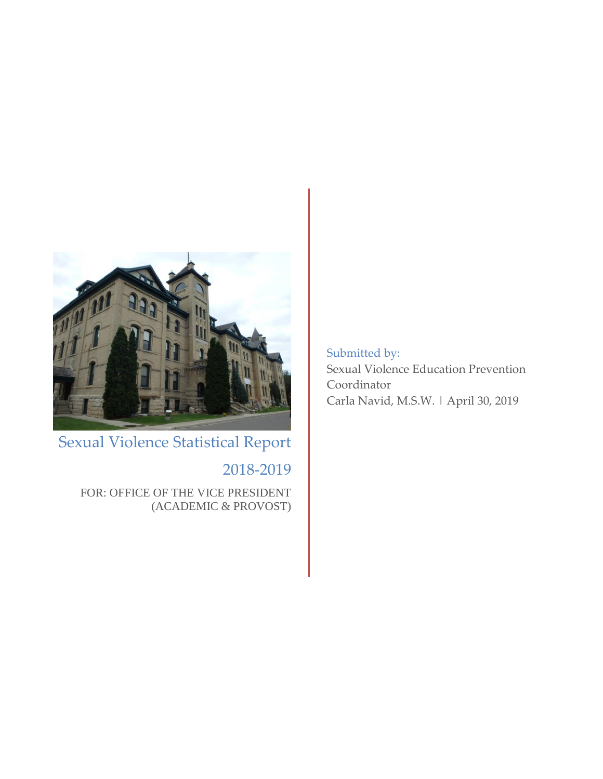

Sexual Violence Statistical Report

# 2018-2019

FOR: OFFICE OF THE VICE PRESIDENT (ACADEMIC & PROVOST) Submitted by: Sexual Violence Education Prevention Coordinator Carla Navid, M.S.W. | April 30, 2019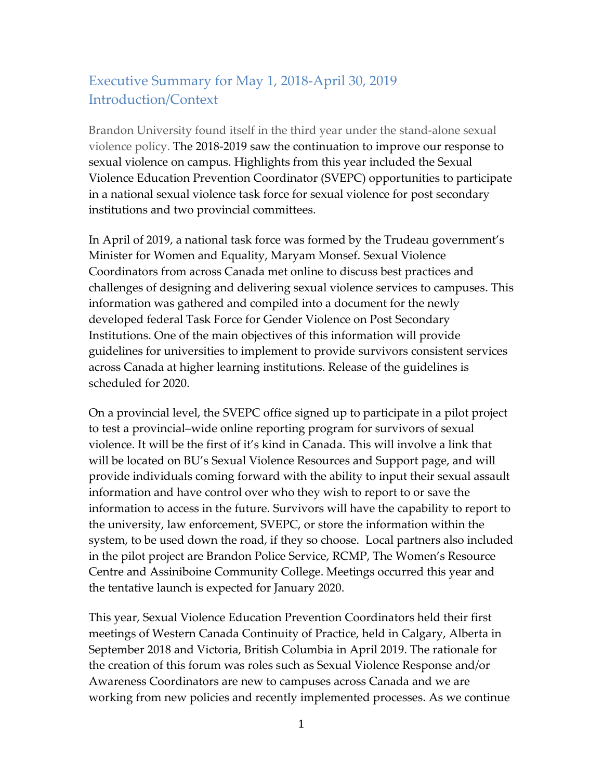### Executive Summary for May 1, 2018-April 30, 2019 Introduction/Context

Brandon University found itself in the third year under the stand-alone sexual violence policy. The 2018-2019 saw the continuation to improve our response to sexual violence on campus. Highlights from this year included the Sexual Violence Education Prevention Coordinator (SVEPC) opportunities to participate in a national sexual violence task force for sexual violence for post secondary institutions and two provincial committees.

In April of 2019, a national task force was formed by the Trudeau government's Minister for Women and Equality, Maryam Monsef. Sexual Violence Coordinators from across Canada met online to discuss best practices and challenges of designing and delivering sexual violence services to campuses. This information was gathered and compiled into a document for the newly developed federal Task Force for Gender Violence on Post Secondary Institutions. One of the main objectives of this information will provide guidelines for universities to implement to provide survivors consistent services across Canada at higher learning institutions. Release of the guidelines is scheduled for 2020.

On a provincial level, the SVEPC office signed up to participate in a pilot project to test a provincial–wide online reporting program for survivors of sexual violence. It will be the first of it's kind in Canada. This will involve a link that will be located on BU's Sexual Violence Resources and Support page, and will provide individuals coming forward with the ability to input their sexual assault information and have control over who they wish to report to or save the information to access in the future. Survivors will have the capability to report to the university, law enforcement, SVEPC, or store the information within the system, to be used down the road, if they so choose. Local partners also included in the pilot project are Brandon Police Service, RCMP, The Women's Resource Centre and Assiniboine Community College. Meetings occurred this year and the tentative launch is expected for January 2020.

This year, Sexual Violence Education Prevention Coordinators held their first meetings of Western Canada Continuity of Practice, held in Calgary, Alberta in September 2018 and Victoria, British Columbia in April 2019. The rationale for the creation of this forum was roles such as Sexual Violence Response and/or Awareness Coordinators are new to campuses across Canada and we are working from new policies and recently implemented processes. As we continue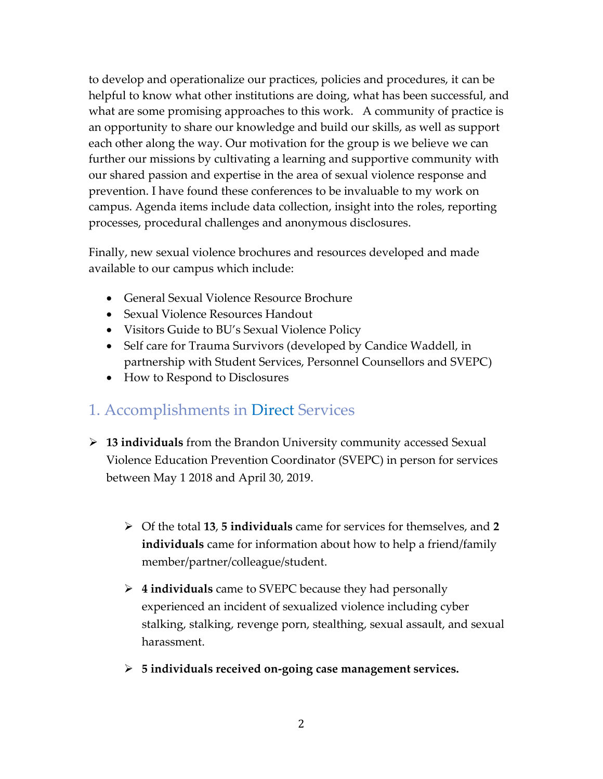to develop and operationalize our practices, policies and procedures, it can be helpful to know what other institutions are doing, what has been successful, and what are some promising approaches to this work. A community of practice is an opportunity to share our knowledge and build our skills, as well as support each other along the way. Our motivation for the group is we believe we can further our missions by cultivating a learning and supportive community with our shared passion and expertise in the area of sexual violence response and prevention. I have found these conferences to be invaluable to my work on campus. Agenda items include data collection, insight into the roles, reporting processes, procedural challenges and anonymous disclosures.

Finally, new sexual violence brochures and resources developed and made available to our campus which include:

- General Sexual Violence Resource Brochure
- Sexual Violence Resources Handout
- Visitors Guide to BU's Sexual Violence Policy
- Self care for Trauma Survivors (developed by Candice Waddell, in partnership with Student Services, Personnel Counsellors and SVEPC)
- How to Respond to Disclosures

# 1. Accomplishments in Direct Services

- **13 individuals** from the Brandon University community accessed Sexual Violence Education Prevention Coordinator (SVEPC) in person for services between May 1 2018 and April 30, 2019.
	- Of the total **13**, **5 individuals** came for services for themselves, and **2 individuals** came for information about how to help a friend/family member/partner/colleague/student.
	- **4 individuals** came to SVEPC because they had personally experienced an incident of sexualized violence including cyber stalking, stalking, revenge porn, stealthing, sexual assault, and sexual harassment.
	- **5 individuals received on-going case management services.**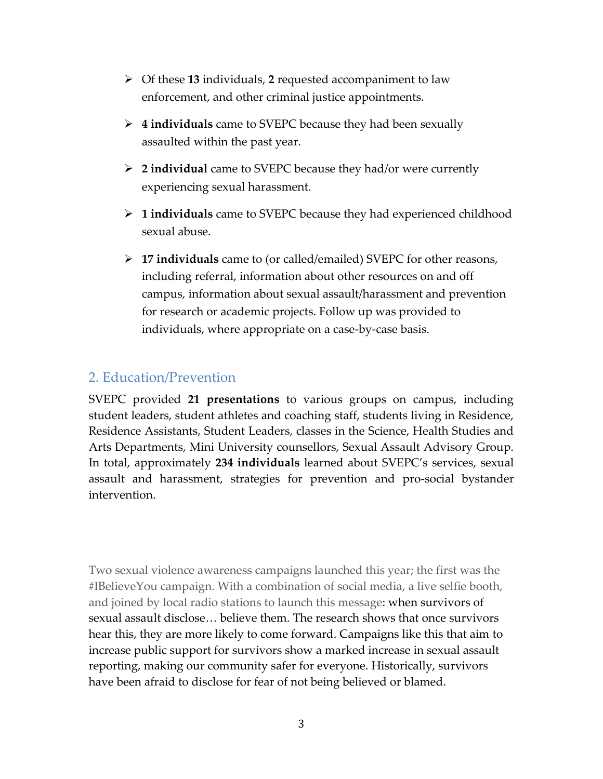- Of these **13** individuals, **2** requested accompaniment to law enforcement, and other criminal justice appointments.
- **4 individuals** came to SVEPC because they had been sexually assaulted within the past year.
- **2 individual** came to SVEPC because they had/or were currently experiencing sexual harassment.
- **1 individuals** came to SVEPC because they had experienced childhood sexual abuse.
- **17 individuals** came to (or called/emailed) SVEPC for other reasons, including referral, information about other resources on and off campus, information about sexual assault/harassment and prevention for research or academic projects. Follow up was provided to individuals, where appropriate on a case-by-case basis.

### 2. Education/Prevention

SVEPC provided **21 presentations** to various groups on campus, including student leaders, student athletes and coaching staff, students living in Residence, Residence Assistants, Student Leaders, classes in the Science, Health Studies and Arts Departments, Mini University counsellors, Sexual Assault Advisory Group. In total, approximately **234 individuals** learned about SVEPC's services, sexual assault and harassment, strategies for prevention and pro-social bystander intervention.

Two sexual violence awareness campaigns launched this year; the first was the #IBelieveYou campaign. With a combination of social media, a live selfie booth, and joined by local radio stations to launch this message: when survivors of sexual assault disclose… believe them. The research shows that once survivors hear this, they are more likely to come forward. Campaigns like this that aim to increase public support for survivors show a marked increase in sexual assault reporting, making our community safer for everyone. Historically, survivors have been afraid to disclose for fear of not being believed or blamed.